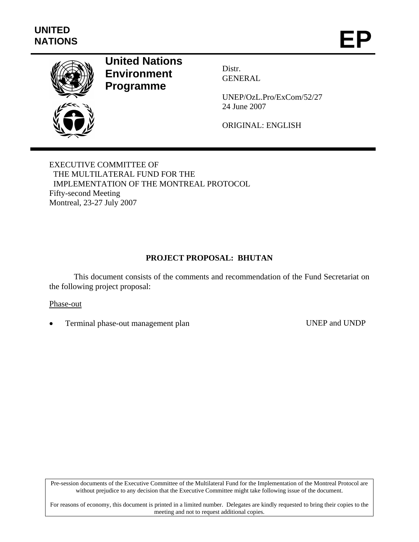

# **United Nations Environment Programme**

Distr. GENERAL

UNEP/OzL.Pro/ExCom/52/27 24 June 2007

ORIGINAL: ENGLISH

EXECUTIVE COMMITTEE OF THE MULTILATERAL FUND FOR THE IMPLEMENTATION OF THE MONTREAL PROTOCOL Fifty-second Meeting Montreal, 23-27 July 2007

### **PROJECT PROPOSAL: BHUTAN**

This document consists of the comments and recommendation of the Fund Secretariat on the following project proposal:

#### Phase-out

Terminal phase-out management plan UNEP and UNDP

Pre-session documents of the Executive Committee of the Multilateral Fund for the Implementation of the Montreal Protocol are without prejudice to any decision that the Executive Committee might take following issue of the document.

For reasons of economy, this document is printed in a limited number. Delegates are kindly requested to bring their copies to the meeting and not to request additional copies.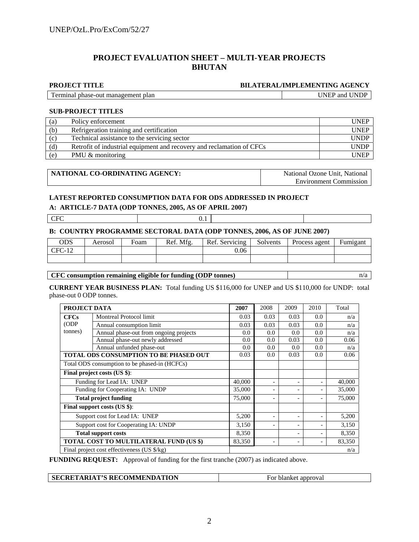#### **PROJECT EVALUATION SHEET – MULTI-YEAR PROJECTS BHUTAN**

#### **PROJECT TITLE BILATERAL/IMPLEMENTING AGENCY**

Terminal phase-out management plan UNEP and UNDP

#### **SUB-PROJECT TITLES**

| (a) | Policy enforcement                                                    | <b>UNEP</b> |
|-----|-----------------------------------------------------------------------|-------------|
| (b) | Refrigeration training and certification                              | <b>UNEP</b> |
| (c) | Technical assistance to the servicing sector                          | <b>UNDP</b> |
| (d) | Retrofit of industrial equipment and recovery and reclamation of CFCs | <b>UNDP</b> |
| (e) | PMU & monitoring                                                      | <b>UNEP</b> |

| ' NATIONAL CO-ORDINATING AGENCY: | National Ozone Unit. National |
|----------------------------------|-------------------------------|
|                                  | <b>Environment Commission</b> |

#### **LATEST REPORTED CONSUMPTION DATA FOR ODS ADDRESSED IN PROJECT**

#### **A: ARTICLE-7 DATA (ODP TONNES, 2005, AS OF APRIL 2007)**

CFC 0.1

#### **B: COUNTRY PROGRAMME SECTORAL DATA (ODP TONNES, 2006, AS OF JUNE 2007)**

| ODS   | Aerosol | Foam | Ref. Mfg. | Ref. Servicing | Solvents | Process agent | Fumigant |
|-------|---------|------|-----------|----------------|----------|---------------|----------|
| $-14$ |         |      |           | 0.06           |          |               |          |
|       |         |      |           |                |          |               |          |

#### **CFC consumption remaining eligible for funding (ODP tonnes)** n/a

**CURRENT YEAR BUSINESS PLAN:** Total funding US \$116,000 for UNEP and US \$110,000 for UNDP: total phase-out 0 ODP tonnes.

|                                       | PROJECT DATA                                   |        |      | 2009                     | 2010 | Total  |
|---------------------------------------|------------------------------------------------|--------|------|--------------------------|------|--------|
| <b>CFCs</b>                           | <b>Montreal Protocol limit</b>                 |        | 0.03 | 0.03                     | 0.0  | n/a    |
| (ODP)                                 | Annual consumption limit                       | 0.03   | 0.03 | 0.03                     | 0.0  | n/a    |
| tonnes)                               | Annual phase-out from ongoing projects         | 0.0    | 0.0  | 0.0                      | 0.0  | n/a    |
|                                       | Annual phase-out newly addressed               | 0.0    | 0.0  | 0.03                     | 0.0  | 0.06   |
|                                       | Annual unfunded phase-out                      | 0.0    | 0.0  | 0.0                      | 0.0  | n/a    |
|                                       | TOTAL ODS CONSUMPTION TO BE PHASED OUT         |        |      | 0.03                     | 0.0  | 0.06   |
|                                       | Total ODS consumption to be phased-in (HCFCs)  |        |      |                          |      |        |
|                                       | Final project costs (US \$):                   |        |      |                          |      |        |
|                                       | Funding for Lead IA: UNEP                      |        |      |                          |      | 40,000 |
|                                       | Funding for Cooperating IA: UNDP               | 35,000 |      | $\overline{\phantom{a}}$ |      | 35,000 |
|                                       | <b>Total project funding</b>                   | 75,000 |      |                          |      | 75,000 |
|                                       | Final support costs (US \$):                   |        |      |                          |      |        |
|                                       | Support cost for Lead IA: UNEP                 |        |      |                          |      | 5,200  |
| Support cost for Cooperating IA: UNDP |                                                |        |      | $\overline{\phantom{0}}$ |      | 3,150  |
|                                       | <b>Total support costs</b>                     |        |      | ٠                        |      | 8,350  |
|                                       | <b>TOTAL COST TO MULTILATERAL FUND (US \$)</b> | 83,350 |      | $\overline{\phantom{0}}$ |      | 83,350 |
|                                       | Final project cost effectiveness (US \$/kg)    |        |      |                          |      | n/a    |

**FUNDING REQUEST:** Approval of funding for the first tranche (2007) as indicated above.

| <b>SECRETARIAT'S RECOMMENDATION</b> | For blanket approval |
|-------------------------------------|----------------------|
|-------------------------------------|----------------------|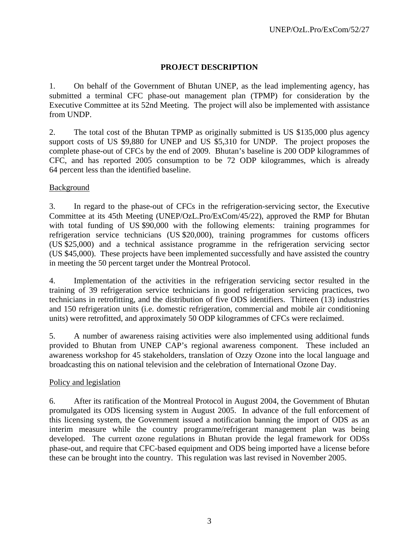### **PROJECT DESCRIPTION**

1. On behalf of the Government of Bhutan UNEP, as the lead implementing agency, has submitted a terminal CFC phase-out management plan (TPMP) for consideration by the Executive Committee at its 52nd Meeting. The project will also be implemented with assistance from UNDP.

2. The total cost of the Bhutan TPMP as originally submitted is US \$135,000 plus agency support costs of US \$9,880 for UNEP and US \$5,310 for UNDP. The project proposes the complete phase-out of CFCs by the end of 2009. Bhutan's baseline is 200 ODP kilogrammes of CFC, and has reported 2005 consumption to be 72 ODP kilogrammes, which is already 64 percent less than the identified baseline.

### **Background**

3. In regard to the phase-out of CFCs in the refrigeration-servicing sector, the Executive Committee at its 45th Meeting (UNEP/OzL.Pro/ExCom/45/22), approved the RMP for Bhutan with total funding of US \$90,000 with the following elements: training programmes for refrigeration service technicians (US \$20,000), training programmes for customs officers (US \$25,000) and a technical assistance programme in the refrigeration servicing sector (US \$45,000). These projects have been implemented successfully and have assisted the country in meeting the 50 percent target under the Montreal Protocol.

4. Implementation of the activities in the refrigeration servicing sector resulted in the training of 39 refrigeration service technicians in good refrigeration servicing practices, two technicians in retrofitting, and the distribution of five ODS identifiers. Thirteen (13) industries and 150 refrigeration units (i.e. domestic refrigeration, commercial and mobile air conditioning units) were retrofitted, and approximately 50 ODP kilogrammes of CFCs were reclaimed.

5. A number of awareness raising activities were also implemented using additional funds provided to Bhutan from UNEP CAP's regional awareness component. These included an awareness workshop for 45 stakeholders, translation of Ozzy Ozone into the local language and broadcasting this on national television and the celebration of International Ozone Day.

### Policy and legislation

6. After its ratification of the Montreal Protocol in August 2004, the Government of Bhutan promulgated its ODS licensing system in August 2005. In advance of the full enforcement of this licensing system, the Government issued a notification banning the import of ODS as an interim measure while the country programme/refrigerant management plan was being developed. The current ozone regulations in Bhutan provide the legal framework for ODSs phase-out, and require that CFC-based equipment and ODS being imported have a license before these can be brought into the country. This regulation was last revised in November 2005.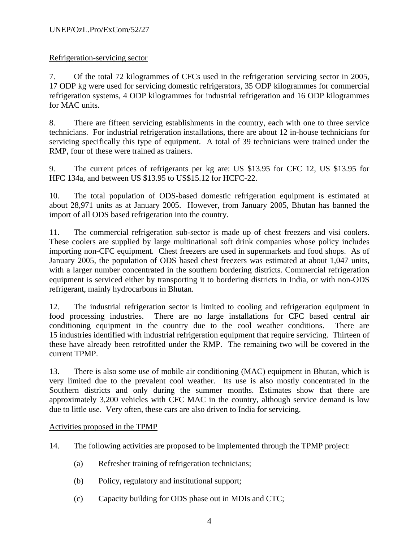### Refrigeration-servicing sector

7. Of the total 72 kilogrammes of CFCs used in the refrigeration servicing sector in 2005, 17 ODP kg were used for servicing domestic refrigerators, 35 ODP kilogrammes for commercial refrigeration systems, 4 ODP kilogrammes for industrial refrigeration and 16 ODP kilogrammes for MAC units.

8. There are fifteen servicing establishments in the country, each with one to three service technicians. For industrial refrigeration installations, there are about 12 in-house technicians for servicing specifically this type of equipment. A total of 39 technicians were trained under the RMP, four of these were trained as trainers.

9. The current prices of refrigerants per kg are: US \$13.95 for CFC 12, US \$13.95 for HFC 134a, and between US \$13.95 to US\$15.12 for HCFC-22.

10. The total population of ODS-based domestic refrigeration equipment is estimated at about 28,971 units as at January 2005. However, from January 2005, Bhutan has banned the import of all ODS based refrigeration into the country.

11. The commercial refrigeration sub-sector is made up of chest freezers and visi coolers. These coolers are supplied by large multinational soft drink companies whose policy includes importing non-CFC equipment. Chest freezers are used in supermarkets and food shops. As of January 2005, the population of ODS based chest freezers was estimated at about 1,047 units, with a larger number concentrated in the southern bordering districts. Commercial refrigeration equipment is serviced either by transporting it to bordering districts in India, or with non-ODS refrigerant, mainly hydrocarbons in Bhutan.

12. The industrial refrigeration sector is limited to cooling and refrigeration equipment in food processing industries. There are no large installations for CFC based central air conditioning equipment in the country due to the cool weather conditions. There are 15 industries identified with industrial refrigeration equipment that require servicing. Thirteen of these have already been retrofitted under the RMP. The remaining two will be covered in the current TPMP.

13. There is also some use of mobile air conditioning (MAC) equipment in Bhutan, which is very limited due to the prevalent cool weather. Its use is also mostly concentrated in the Southern districts and only during the summer months. Estimates show that there are approximately 3,200 vehicles with CFC MAC in the country, although service demand is low due to little use. Very often, these cars are also driven to India for servicing.

#### Activities proposed in the TPMP

14. The following activities are proposed to be implemented through the TPMP project:

- (a) Refresher training of refrigeration technicians;
- (b) Policy, regulatory and institutional support;
- (c) Capacity building for ODS phase out in MDIs and CTC;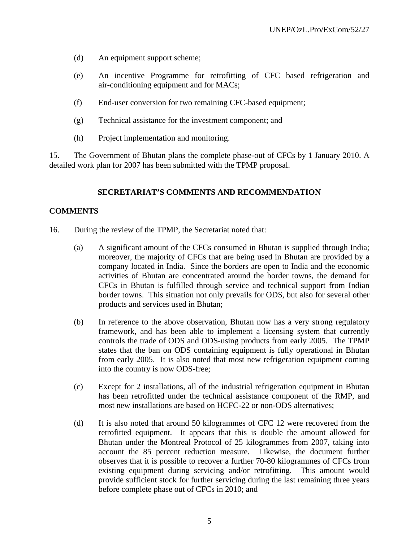- (d) An equipment support scheme;
- (e) An incentive Programme for retrofitting of CFC based refrigeration and air-conditioning equipment and for MACs;
- (f) End-user conversion for two remaining CFC-based equipment;
- (g) Technical assistance for the investment component; and
- (h) Project implementation and monitoring.

15. The Government of Bhutan plans the complete phase-out of CFCs by 1 January 2010. A detailed work plan for 2007 has been submitted with the TPMP proposal.

#### **SECRETARIAT'S COMMENTS AND RECOMMENDATION**

#### **COMMENTS**

- 16. During the review of the TPMP, the Secretariat noted that:
	- (a) A significant amount of the CFCs consumed in Bhutan is supplied through India; moreover, the majority of CFCs that are being used in Bhutan are provided by a company located in India. Since the borders are open to India and the economic activities of Bhutan are concentrated around the border towns, the demand for CFCs in Bhutan is fulfilled through service and technical support from Indian border towns. This situation not only prevails for ODS, but also for several other products and services used in Bhutan;
	- (b) In reference to the above observation, Bhutan now has a very strong regulatory framework, and has been able to implement a licensing system that currently controls the trade of ODS and ODS-using products from early 2005. The TPMP states that the ban on ODS containing equipment is fully operational in Bhutan from early 2005. It is also noted that most new refrigeration equipment coming into the country is now ODS-free;
	- (c) Except for 2 installations, all of the industrial refrigeration equipment in Bhutan has been retrofitted under the technical assistance component of the RMP, and most new installations are based on HCFC-22 or non-ODS alternatives;
	- (d) It is also noted that around 50 kilogrammes of CFC 12 were recovered from the retrofitted equipment. It appears that this is double the amount allowed for Bhutan under the Montreal Protocol of 25 kilogrammes from 2007, taking into account the 85 percent reduction measure. Likewise, the document further observes that it is possible to recover a further 70-80 kilogrammes of CFCs from existing equipment during servicing and/or retrofitting. This amount would provide sufficient stock for further servicing during the last remaining three years before complete phase out of CFCs in 2010; and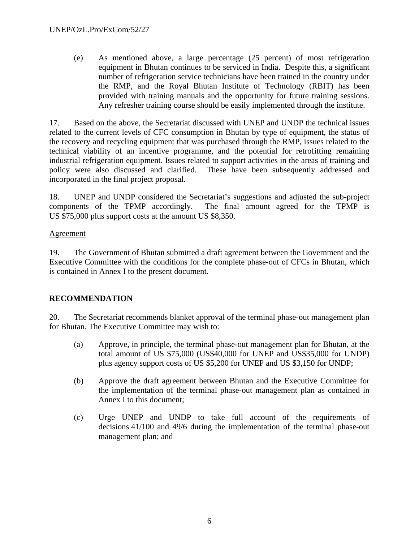(e) As mentioned above, a large percentage (25 percent) of most refrigeration equipment in Bhutan continues to be serviced in India. Despite this, a significant number of refrigeration service technicians have been trained in the country under the RMP, and the Royal Bhutan Institute of Technology (RBIT) has been provided with training manuals and the opportunity for future training sessions. Any refresher training course should be easily implemented through the institute.

17. Based on the above, the Secretariat discussed with UNEP and UNDP the technical issues related to the current levels of CFC consumption in Bhutan by type of equipment, the status of the recovery and recycling equipment that was purchased through the RMP, issues related to the technical viability of an incentive programme, and the potential for retrofitting remaining industrial refrigeration equipment. Issues related to support activities in the areas of training and policy were also discussed and clarified. These have been subsequently addressed and incorporated in the final project proposal.

18. UNEP and UNDP considered the Secretariat's suggestions and adjusted the sub-project components of the TPMP accordingly. The final amount agreed for the TPMP is US \$75,000 plus support costs at the amount US \$8,350.

### Agreement

19. The Government of Bhutan submitted a draft agreement between the Government and the Executive Committee with the conditions for the complete phase-out of CFCs in Bhutan, which is contained in Annex I to the present document.

## **RECOMMENDATION**

20. The Secretariat recommends blanket approval of the terminal phase-out management plan for Bhutan. The Executive Committee may wish to:

- (a) Approve, in principle, the terminal phase-out management plan for Bhutan, at the total amount of US \$75,000 (US\$40,000 for UNEP and US\$35,000 for UNDP) plus agency support costs of US \$5,200 for UNEP and US \$3,150 for UNDP;
- (b) Approve the draft agreement between Bhutan and the Executive Committee for the implementation of the terminal phase-out management plan as contained in Annex I to this document;
- (c) Urge UNEP and UNDP to take full account of the requirements of decisions 41/100 and 49/6 during the implementation of the terminal phase-out management plan; and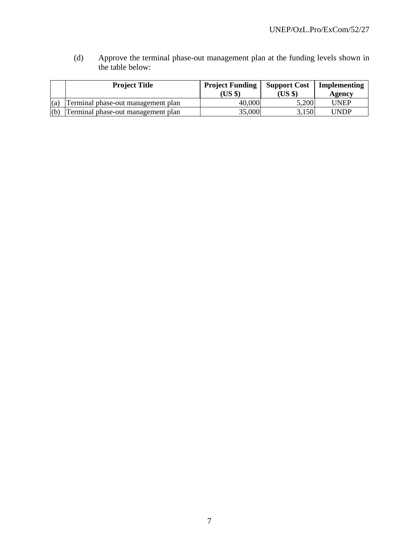(d) Approve the terminal phase-out management plan at the funding levels shown in the table below:

|     | <b>Project Title</b>               | <b>Project Funding</b><br>(US \$) | <b>Support Cost</b><br>(US \$) | Implementing<br>Agency |  |
|-----|------------------------------------|-----------------------------------|--------------------------------|------------------------|--|
| (a) | Terminal phase-out management plan | 40,000                            | 5,200                          | <b>UNEP</b>            |  |
| (b) | Terminal phase-out management plan | 35,000                            | 3,150                          | UNDP                   |  |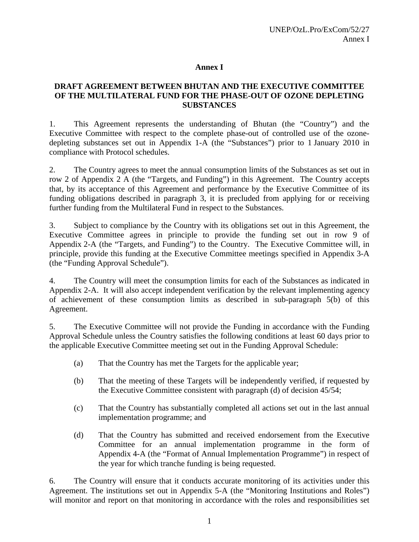#### **Annex I**

### **DRAFT AGREEMENT BETWEEN BHUTAN AND THE EXECUTIVE COMMITTEE OF THE MULTILATERAL FUND FOR THE PHASE-OUT OF OZONE DEPLETING SUBSTANCES**

1. This Agreement represents the understanding of Bhutan (the "Country") and the Executive Committee with respect to the complete phase-out of controlled use of the ozonedepleting substances set out in Appendix 1-A (the "Substances") prior to 1 January 2010 in compliance with Protocol schedules.

2. The Country agrees to meet the annual consumption limits of the Substances as set out in row 2 of Appendix 2 A (the "Targets, and Funding") in this Agreement. The Country accepts that, by its acceptance of this Agreement and performance by the Executive Committee of its funding obligations described in paragraph 3, it is precluded from applying for or receiving further funding from the Multilateral Fund in respect to the Substances.

3. Subject to compliance by the Country with its obligations set out in this Agreement, the Executive Committee agrees in principle to provide the funding set out in row 9 of Appendix 2-A (the "Targets, and Funding") to the Country. The Executive Committee will, in principle, provide this funding at the Executive Committee meetings specified in Appendix 3-A (the "Funding Approval Schedule").

4. The Country will meet the consumption limits for each of the Substances as indicated in Appendix 2-A. It will also accept independent verification by the relevant implementing agency of achievement of these consumption limits as described in sub-paragraph 5(b) of this Agreement.

5. The Executive Committee will not provide the Funding in accordance with the Funding Approval Schedule unless the Country satisfies the following conditions at least 60 days prior to the applicable Executive Committee meeting set out in the Funding Approval Schedule:

- (a) That the Country has met the Targets for the applicable year;
- (b) That the meeting of these Targets will be independently verified, if requested by the Executive Committee consistent with paragraph (d) of decision 45/54;
- (c) That the Country has substantially completed all actions set out in the last annual implementation programme; and
- (d) That the Country has submitted and received endorsement from the Executive Committee for an annual implementation programme in the form of Appendix 4-A (the "Format of Annual Implementation Programme") in respect of the year for which tranche funding is being requested.

6. The Country will ensure that it conducts accurate monitoring of its activities under this Agreement. The institutions set out in Appendix 5-A (the "Monitoring Institutions and Roles") will monitor and report on that monitoring in accordance with the roles and responsibilities set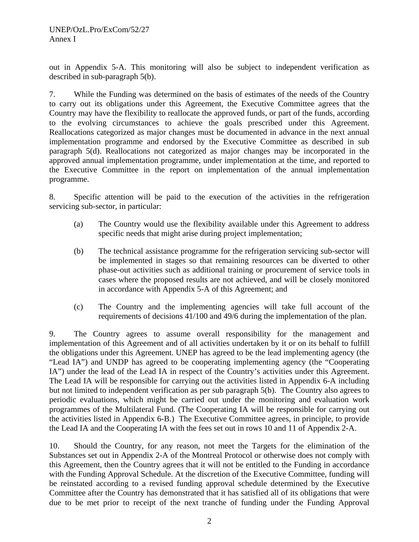out in Appendix 5-A. This monitoring will also be subject to independent verification as described in sub-paragraph 5(b).

7. While the Funding was determined on the basis of estimates of the needs of the Country to carry out its obligations under this Agreement, the Executive Committee agrees that the Country may have the flexibility to reallocate the approved funds, or part of the funds, according to the evolving circumstances to achieve the goals prescribed under this Agreement. Reallocations categorized as major changes must be documented in advance in the next annual implementation programme and endorsed by the Executive Committee as described in sub paragraph 5(d). Reallocations not categorized as major changes may be incorporated in the approved annual implementation programme, under implementation at the time, and reported to the Executive Committee in the report on implementation of the annual implementation programme.

8. Specific attention will be paid to the execution of the activities in the refrigeration servicing sub-sector, in particular:

- (a) The Country would use the flexibility available under this Agreement to address specific needs that might arise during project implementation;
- (b) The technical assistance programme for the refrigeration servicing sub-sector will be implemented in stages so that remaining resources can be diverted to other phase-out activities such as additional training or procurement of service tools in cases where the proposed results are not achieved, and will be closely monitored in accordance with Appendix 5-A of this Agreement; and
- (c) The Country and the implementing agencies will take full account of the requirements of decisions 41/100 and 49/6 during the implementation of the plan.

9. The Country agrees to assume overall responsibility for the management and implementation of this Agreement and of all activities undertaken by it or on its behalf to fulfill the obligations under this Agreement. UNEP has agreed to be the lead implementing agency (the "Lead IA") and UNDP has agreed to be cooperating implementing agency (the "Cooperating IA") under the lead of the Lead IA in respect of the Country's activities under this Agreement. The Lead IA will be responsible for carrying out the activities listed in Appendix 6-A including but not limited to independent verification as per sub paragraph 5(b). The Country also agrees to periodic evaluations, which might be carried out under the monitoring and evaluation work programmes of the Multilateral Fund. (The Cooperating IA will be responsible for carrying out the activities listed in Appendix 6-B.) The Executive Committee agrees, in principle, to provide the Lead IA and the Cooperating IA with the fees set out in rows 10 and 11 of Appendix 2-A.

10. Should the Country, for any reason, not meet the Targets for the elimination of the Substances set out in Appendix 2-A of the Montreal Protocol or otherwise does not comply with this Agreement, then the Country agrees that it will not be entitled to the Funding in accordance with the Funding Approval Schedule. At the discretion of the Executive Committee, funding will be reinstated according to a revised funding approval schedule determined by the Executive Committee after the Country has demonstrated that it has satisfied all of its obligations that were due to be met prior to receipt of the next tranche of funding under the Funding Approval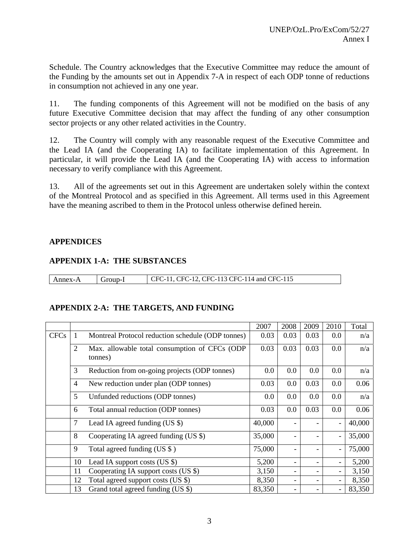Schedule. The Country acknowledges that the Executive Committee may reduce the amount of the Funding by the amounts set out in Appendix 7-A in respect of each ODP tonne of reductions in consumption not achieved in any one year.

11. The funding components of this Agreement will not be modified on the basis of any future Executive Committee decision that may affect the funding of any other consumption sector projects or any other related activities in the Country.

12. The Country will comply with any reasonable request of the Executive Committee and the Lead IA (and the Cooperating IA) to facilitate implementation of this Agreement. In particular, it will provide the Lead IA (and the Cooperating IA) with access to information necessary to verify compliance with this Agreement.

13. All of the agreements set out in this Agreement are undertaken solely within the context of the Montreal Protocol and as specified in this Agreement. All terms used in this Agreement have the meaning ascribed to them in the Protocol unless otherwise defined herein.

### **APPENDICES**

### **APPENDIX 1-A: THE SUBSTANCES**

| Annex-A | Group-1 | CFC-11, CFC-12, CFC-113 CFC-114 and CFC-115 |
|---------|---------|---------------------------------------------|

#### **APPENDIX 2-A: THE TARGETS, AND FUNDING**

|             |                |                                                          | 2007   | 2008 | 2009 | 2010 | Total  |
|-------------|----------------|----------------------------------------------------------|--------|------|------|------|--------|
| <b>CFCs</b> |                | Montreal Protocol reduction schedule (ODP tonnes)        |        | 0.03 | 0.03 | 0.0  | n/a    |
|             | $\overline{2}$ | Max. allowable total consumption of CFCs (ODP<br>tonnes) |        | 0.03 | 0.03 | 0.0  | n/a    |
|             | 3              | Reduction from on-going projects (ODP tonnes)            | 0.0    | 0.0  | 0.0  | 0.0  | n/a    |
|             | $\overline{4}$ | New reduction under plan (ODP tonnes)                    | 0.03   | 0.0  | 0.03 | 0.0  | 0.06   |
|             | 5              | Unfunded reductions (ODP tonnes)                         | 0.0    | 0.0  | 0.0  | 0.0  | n/a    |
|             | 6              | Total annual reduction (ODP tonnes)                      | 0.03   | 0.0  | 0.03 | 0.0  | 0.06   |
|             | 7              | Lead IA agreed funding $(US \$ )                         | 40,000 |      |      |      | 40,000 |
|             | 8              | Cooperating IA agreed funding (US \$)                    | 35,000 |      |      |      | 35,000 |
|             | 9              | Total agreed funding (US $\$ )                           | 75,000 |      |      |      | 75,000 |
|             | 10             | Lead IA support costs $(US \$ )                          | 5,200  |      |      |      | 5,200  |
|             | 11             | Cooperating IA support costs (US \$)                     | 3,150  |      |      |      | 3,150  |
|             | 12             | Total agreed support costs (US \$)                       | 8,350  |      |      |      | 8,350  |
|             | 13             | Grand total agreed funding (US \$)                       | 83,350 |      |      |      | 83,350 |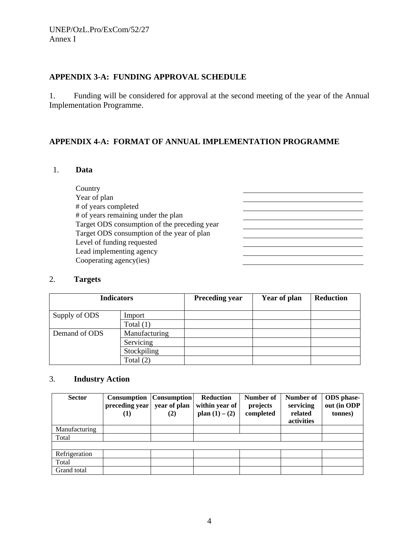## **APPENDIX 3-A: FUNDING APPROVAL SCHEDULE**

1. Funding will be considered for approval at the second meeting of the year of the Annual Implementation Programme.

### **APPENDIX 4-A: FORMAT OF ANNUAL IMPLEMENTATION PROGRAMME**

### 1. **Data**

| Country                                      |  |
|----------------------------------------------|--|
| Year of plan                                 |  |
| # of years completed                         |  |
| # of years remaining under the plan          |  |
| Target ODS consumption of the preceding year |  |
| Target ODS consumption of the year of plan   |  |
| Level of funding requested                   |  |
| Lead implementing agency                     |  |
| Cooperating agency(ies)                      |  |
|                                              |  |

### 2. **Targets**

| <b>Indicators</b> |               | <b>Preceding year</b> | Year of plan | <b>Reduction</b> |
|-------------------|---------------|-----------------------|--------------|------------------|
| Supply of ODS     | Import        |                       |              |                  |
|                   | Total $(1)$   |                       |              |                  |
| Demand of ODS     | Manufacturing |                       |              |                  |
|                   | Servicing     |                       |              |                  |
|                   | Stockpiling   |                       |              |                  |
|                   | Total $(2)$   |                       |              |                  |

### 3. **Industry Action**

| <b>Sector</b> | Consumption<br>preceding year<br>(1) | <b>Consumption</b><br>year of plan<br>(2) | <b>Reduction</b><br>within year of<br>plan $(1) - (2)$ | Number of<br>projects<br>completed | Number of<br>servicing<br>related<br>activities | <b>ODS</b> phase-<br>out (in ODP<br>tonnes) |
|---------------|--------------------------------------|-------------------------------------------|--------------------------------------------------------|------------------------------------|-------------------------------------------------|---------------------------------------------|
| Manufacturing |                                      |                                           |                                                        |                                    |                                                 |                                             |
| Total         |                                      |                                           |                                                        |                                    |                                                 |                                             |
|               |                                      |                                           |                                                        |                                    |                                                 |                                             |
| Refrigeration |                                      |                                           |                                                        |                                    |                                                 |                                             |
| Total         |                                      |                                           |                                                        |                                    |                                                 |                                             |
| Grand total   |                                      |                                           |                                                        |                                    |                                                 |                                             |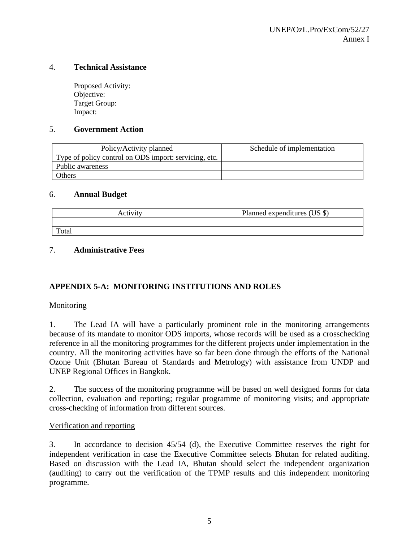#### 4. **Technical Assistance**

Proposed Activity: Objective: Target Group: Impact:

#### 5. **Government Action**

| Policy/Activity planned                               | Schedule of implementation |
|-------------------------------------------------------|----------------------------|
| Type of policy control on ODS import: servicing, etc. |                            |
| Public awareness                                      |                            |
| Others                                                |                            |

#### 6. **Annual Budget**

| $2 + 1 + 7 + 7 + 7$ | Planned expenditures (US \$) |
|---------------------|------------------------------|
|                     |                              |
| Total               |                              |

#### 7. **Administrative Fees**

### **APPENDIX 5-A: MONITORING INSTITUTIONS AND ROLES**

#### Monitoring

1. The Lead IA will have a particularly prominent role in the monitoring arrangements because of its mandate to monitor ODS imports, whose records will be used as a crosschecking reference in all the monitoring programmes for the different projects under implementation in the country. All the monitoring activities have so far been done through the efforts of the National Ozone Unit (Bhutan Bureau of Standards and Metrology) with assistance from UNDP and UNEP Regional Offices in Bangkok.

2. The success of the monitoring programme will be based on well designed forms for data collection, evaluation and reporting; regular programme of monitoring visits; and appropriate cross-checking of information from different sources.

#### Verification and reporting

3. In accordance to decision 45/54 (d), the Executive Committee reserves the right for independent verification in case the Executive Committee selects Bhutan for related auditing. Based on discussion with the Lead IA, Bhutan should select the independent organization (auditing) to carry out the verification of the TPMP results and this independent monitoring programme.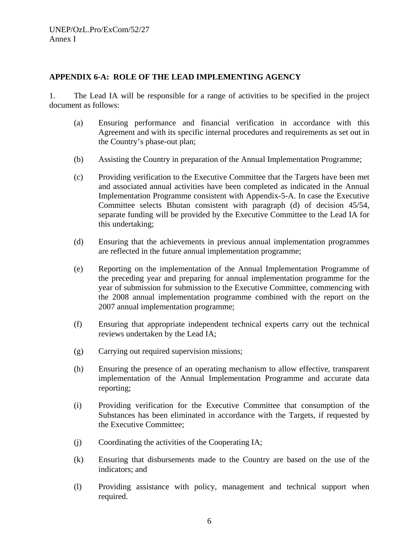### **APPENDIX 6-A: ROLE OF THE LEAD IMPLEMENTING AGENCY**

1. The Lead IA will be responsible for a range of activities to be specified in the project document as follows:

- (a) Ensuring performance and financial verification in accordance with this Agreement and with its specific internal procedures and requirements as set out in the Country's phase-out plan;
- (b) Assisting the Country in preparation of the Annual Implementation Programme;
- (c) Providing verification to the Executive Committee that the Targets have been met and associated annual activities have been completed as indicated in the Annual Implementation Programme consistent with Appendix-5-A. In case the Executive Committee selects Bhutan consistent with paragraph (d) of decision 45/54, separate funding will be provided by the Executive Committee to the Lead IA for this undertaking;
- (d) Ensuring that the achievements in previous annual implementation programmes are reflected in the future annual implementation programme;
- (e) Reporting on the implementation of the Annual Implementation Programme of the preceding year and preparing for annual implementation programme for the year of submission for submission to the Executive Committee, commencing with the 2008 annual implementation programme combined with the report on the 2007 annual implementation programme;
- (f) Ensuring that appropriate independent technical experts carry out the technical reviews undertaken by the Lead IA;
- (g) Carrying out required supervision missions;
- (h) Ensuring the presence of an operating mechanism to allow effective, transparent implementation of the Annual Implementation Programme and accurate data reporting;
- (i) Providing verification for the Executive Committee that consumption of the Substances has been eliminated in accordance with the Targets, if requested by the Executive Committee;
- (j) Coordinating the activities of the Cooperating IA;
- (k) Ensuring that disbursements made to the Country are based on the use of the indicators; and
- (l) Providing assistance with policy, management and technical support when required.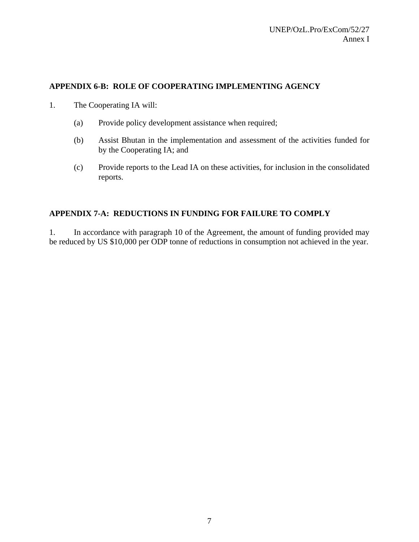### **APPENDIX 6-B: ROLE OF COOPERATING IMPLEMENTING AGENCY**

- 1. The Cooperating IA will:
	- (a) Provide policy development assistance when required;
	- (b) Assist Bhutan in the implementation and assessment of the activities funded for by the Cooperating IA; and
	- (c) Provide reports to the Lead IA on these activities, for inclusion in the consolidated reports.

#### **APPENDIX 7-A: REDUCTIONS IN FUNDING FOR FAILURE TO COMPLY**

1. In accordance with paragraph 10 of the Agreement, the amount of funding provided may be reduced by US \$10,000 per ODP tonne of reductions in consumption not achieved in the year.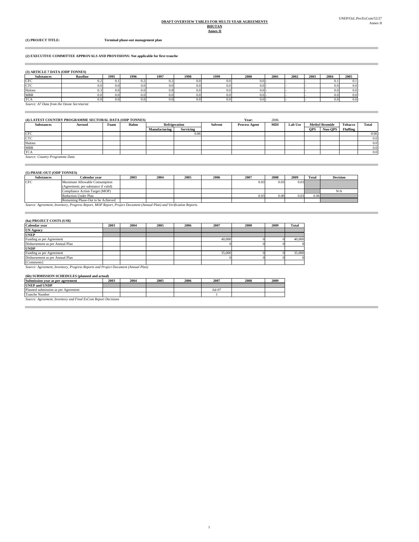#### **Annex II BHUTAN DRAFT OVERVIEW TABLES FOR MULTI-YEAR AGREEMENTS**

×

**(1) PROJECT TITLE: Terminal phase-out management plan**

#### **(2) EXECUTIVE COMMITTEE APPROVALS AND PROVISIONS: Not applicable for first tranche**

| (3) ARTICLE 7 DATA (ODP TONNES) |  |  |  |  |  |  |
|---------------------------------|--|--|--|--|--|--|
|---------------------------------|--|--|--|--|--|--|

| <b>Substances</b> | <b>Baseline</b> | 1995     | 1996 | 1997     | 1998 | 1999 | 2000 | 2001 | 2002 | 2003 | 2004             | 2005     |
|-------------------|-----------------|----------|------|----------|------|------|------|------|------|------|------------------|----------|
| CFC               | v.z             | U. I     | 0.2  | 0.2      | 0.0  |      | 0.01 |      |      |      | $\mathbf{U}$ . 1 | $_{0.1}$ |
| CTC               | 0.0             | $_{0.0}$ | 0.0  | $_{0.0}$ | 0.0  |      | 0.01 |      |      |      | $_{0.0}$         | 0.0      |
| Halons            | υ               | $_{0.0}$ | 0.0  | U.C      | 0.0  |      | 0.01 |      |      |      | $_{0.0}$         | 0.0      |
| <b>MBR</b>        | 0.0             | $_{0.0}$ | 0.0  | $_{0.0}$ | 0.0  |      | 0.01 |      |      |      | $_{0.0}$         | 0.0      |
| <b>TCA</b>        | 0.0             | 0.0      | 0.0  | $_{0.0}$ | 0.0  |      | 0.01 |      |      |      | $_{0.0}$         | 0.0      |
|                   |                 |          |      |          |      |      |      |      |      |      |                  |          |

*Source: A7 Data from the Ozone Secretariat*

| (4) LATEST COUNTRY PROGRAMME SECTORAL DATA (ODP TONNES) |         |      |       |               |                  |         |                      | 2006 |         |            |                       |                |                  |
|---------------------------------------------------------|---------|------|-------|---------------|------------------|---------|----------------------|------|---------|------------|-----------------------|----------------|------------------|
| <b>Substances</b>                                       | Aerosol | Foam | Halon | Refrigeration |                  | Solvent | <b>Process Agent</b> | MDI  | Lab Use |            | <b>Methyl Bromide</b> | <b>Tobacco</b> | Total            |
|                                                         |         |      |       | Manufacturing | <b>Servicing</b> |         |                      |      |         | <b>OPS</b> | Non-OPS               | Fluffing       |                  |
| <b>CFC</b>                                              |         |      |       |               | 0.06             |         |                      |      |         |            |                       |                | 0.06             |
| CTC                                                     |         |      |       |               |                  |         |                      |      |         |            |                       |                | 0.0              |
| Halons                                                  |         |      |       |               |                  |         |                      |      |         |            |                       |                | 0.0 <sub>1</sub> |
| <b>MBR</b>                                              |         |      |       |               |                  |         |                      |      |         |            |                       |                | 0.0              |
| <b>TCA</b>                                              |         |      |       |               |                  |         |                      |      |         |            |                       |                | 0.0              |
| Source: Country Programme Data                          |         |      |       |               |                  |         |                      |      |         |            |                       |                |                  |

**Contract Contract** 

#### **(5) PHASE-OUT (ODP TONNES)**

| Substances | Calendar vear                       | 2003 | 2004 | 2005 | 2006 | 2007 | 2008 | 2009 | Total           | <b>Decision</b>                                                                                                                                                                                                                                                                                                                                                             |
|------------|-------------------------------------|------|------|------|------|------|------|------|-----------------|-----------------------------------------------------------------------------------------------------------------------------------------------------------------------------------------------------------------------------------------------------------------------------------------------------------------------------------------------------------------------------|
| CFC        | Maximum Allowable Consumption       |      |      |      |      | 0.03 | 0.03 |      |                 | $0.03$ $\frac{1}{2}$ $\frac{1}{2}$ $\frac{1}{2}$ $\frac{1}{2}$ $\frac{1}{2}$ $\frac{1}{2}$ $\frac{1}{2}$ $\frac{1}{2}$ $\frac{1}{2}$ $\frac{1}{2}$ $\frac{1}{2}$ $\frac{1}{2}$ $\frac{1}{2}$ $\frac{1}{2}$ $\frac{1}{2}$ $\frac{1}{2}$ $\frac{1}{2}$ $\frac{1}{2}$ $\frac{1}{2}$ $\frac{1}{2}$ $\frac{1}{2}$ $\frac{$                                                       |
|            | (Agreement; per substance if valid) |      |      |      |      |      |      |      |                 |                                                                                                                                                                                                                                                                                                                                                                             |
|            | Compliance Action Target (MOP)      |      |      |      |      |      |      |      | <b>Manaziri</b> | N/A                                                                                                                                                                                                                                                                                                                                                                         |
|            | Reduction Under Plan                |      |      |      |      | 0.03 |      | 0.03 |                 | $\begin{picture}(20,20) \put(0,0){\vector(1,0){10}} \put(15,0){\vector(1,0){10}} \put(15,0){\vector(1,0){10}} \put(15,0){\vector(1,0){10}} \put(15,0){\vector(1,0){10}} \put(15,0){\vector(1,0){10}} \put(15,0){\vector(1,0){10}} \put(15,0){\vector(1,0){10}} \put(15,0){\vector(1,0){10}} \put(15,0){\vector(1,0){10}} \put(15,0){\vector(1,0){10}} \put(15,0){\vector(1$ |
|            | Remaining Phase-Out to be Achieved  |      |      |      |      |      |      |      |                 | Antikalin kalendari kalendari                                                                                                                                                                                                                                                                                                                                               |

*Source: Agreement, Inventory, Progress Report, MOP Report, Project Document (Annual Plan) and Verification Reports.*

#### **(6a) PROJECT COSTS (US\$)**

| Calendar vear                   | 2003 | 2004 | 2005 | 2006 | 2007   | 2008                                                                                                                | 2009 | Total  |
|---------------------------------|------|------|------|------|--------|---------------------------------------------------------------------------------------------------------------------|------|--------|
| <b>UN Agency</b>                |      |      |      |      |        | and the contract of the contract of the contract of the contract of the contract of the contract of the contract of |      |        |
| <b>UNEP</b>                     |      |      |      |      |        | and the contract of the contract of the contract of the contract of the contract of the contract of the contract of |      |        |
| Funding as per Agreement        |      |      |      |      | 40.000 |                                                                                                                     |      | 40,000 |
| Disbursement as per Annual Plan |      |      |      |      |        |                                                                                                                     |      |        |
| <b>UNDP</b>                     |      |      |      |      |        |                                                                                                                     |      |        |
| Funding as per Agreement        |      |      |      |      | 35,000 |                                                                                                                     |      | 35,000 |
| Disbursement as per Annual Plan |      |      |      |      |        |                                                                                                                     |      |        |
| [Comments]                      |      |      |      |      |        |                                                                                                                     |      |        |

*Source: Agreement, Inventory, Progress Reports and Project Document (Annual Plan)* [Comments]

#### **(6b) SUBMISSION SCHEDULES (planned and actual)**

| Submission year as per agreement       | 2003 | 2004 | 2005 | 2006 | 2007     | 2008 | 2009 |
|----------------------------------------|------|------|------|------|----------|------|------|
| <b>UNEP and UNDP</b>                   |      |      |      |      |          |      |      |
| Planned submission as per<br>Agreement |      |      |      |      | $Jul-07$ |      |      |
| <b>Tranche Number</b>                  |      |      |      |      |          |      |      |
|                                        |      |      |      |      |          |      |      |

*Source: Agreement, Inventory and Final ExCom Report Decisions*

m.